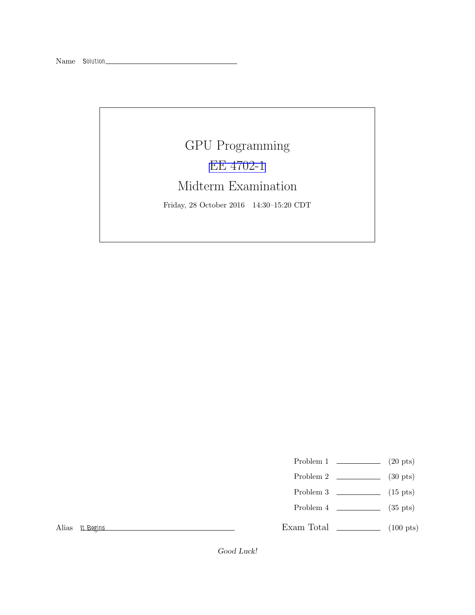## GPU Programming [EE 4702-1](http://www.ece.lsu.edu/koppel/gpup/) Midterm Examination Friday, 28 October 2016 14:30–15:20 CDT

- Problem 1  $\qquad \qquad$  (20 pts)
- Problem 2  $\qquad \qquad$  (30 pts)
- Problem 3  $\qquad \qquad$  (15 pts)
- Problem 4  $\sim$  (35 pts)

Exam Total \_\_\_\_\_\_\_\_\_\_\_\_\_ (100 pts)

Alias It Begins

Good Luck!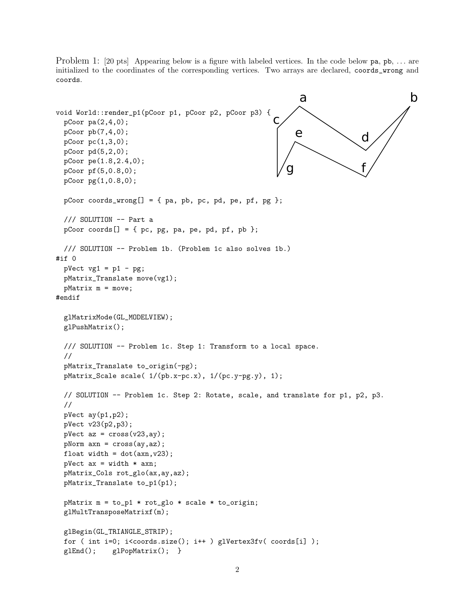Problem 1: [20 pts] Appearing below is a figure with labeled vertices. In the code below pa, pb, ... are initialized to the coordinates of the corresponding vertices. Two arrays are declared, coords\_wrong and coords.

```
a b
                                                     c
                                                                          d
                                                          e
                                                        g \searrow f
void World::render_p1(pCoor p1, pCoor p2, pCoor p3) {
 pCoor pa(2,4,0);
 pCoor pb(7,4,0);
 pCoor pc(1,3,0);
 pCoor pd(5,2,0);
 pCoor pe(1.8,2.4,0);
 pCoor pf(5,0.8,0);
 pCoor pg(1,0.8,0);
 pCoor coords_wrong[] = { pa, pb, pc, pd, pe, pf, pg };/// SOLUTION -- Part a
 pCoor coords[] = { pc, pg, pa, pe, pd, pf, pb };
 /// SOLUTION -- Problem 1b. (Problem 1c also solves 1b.)
#if 0
 pVect vg1 = p1 - pg;pMatrix_Translate move(vg1);
 pMatrix m = move;
#endif
 glMatrixMode(GL_MODELVIEW);
 glPushMatrix();
 /// SOLUTION -- Problem 1c. Step 1: Transform to a local space.
 //
 pMatrix_Translate to_origin(-pg);
 pMatrix_Scale scale( 1/(pb.x-pc.x), 1/(pc.y-pg.y), 1);
 // SOLUTION -- Problem 1c. Step 2: Rotate, scale, and translate for p1, p2, p3.
 //
 pVect ay(p1,p2);
 pVect v23(p2,p3);
 pVect az = cross(v23, ay);
 pNorm axn = cross(ay,az);
 float width = dot(axn, v23);
 pVect ax = width * axn;
 pMatrix_Cols rot_glo(ax,ay,az);
 pMatrix_Translate to_p1(p1);
 pMatrix m = to_p1 * rot_glo * scale * to_origin;
 glMultTransposeMatrixf(m);
 glBegin(GL_TRIANGLE_STRIP);
 for ( int i=0; i<coords.size(); i++ ) glVertex3fv( coords[i] );
 glEnd(); glPopMatrix(); }
```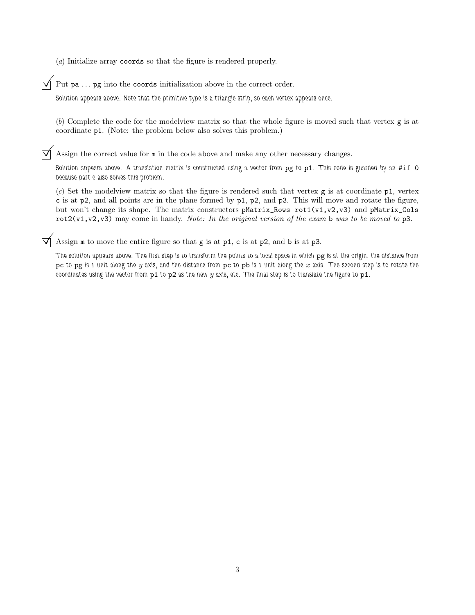(*a*) Initialize array coords so that the figure is rendered properly.

## Put pa ... pg into the coords initialization above in the correct order.

Solution appears above. Note that the primitive type is a triangle strip, so each vertex appears once.

(*b*) Complete the code for the modelview matrix so that the whole figure is moved such that vertex g is at coordinate p1. (Note: the problem below also solves this problem.)

 $\overrightarrow{\mathsf{M}}$  Assign the correct value for  $\mathfrak m$  in the code above and make any other necessary changes.

Solution appears above. A translation matrix is constructed using a vector from pg to p1. This code is guarded by an #if 0 because part c also solves this problem.

(*c*) Set the modelview matrix so that the figure is rendered such that vertex g is at coordinate p1, vertex c is at p2, and all points are in the plane formed by  $p1$ ,  $p2$ , and  $p3$ . This will move and rotate the figure, but won't change its shape. The matrix constructors pMatrix\_Rows rot1(v1,v2,v3) and pMatrix\_Cols rot2(v1,v2,v3) may come in handy. *Note: In the original version of the exam* b *was to be moved to* p3*.*

 $\triangledown$  Assign m to move the entire figure so that g is at p1, c is at p2, and b is at p3.

The solution appears above. The first step is to transform the points to a local space in which pg is at the origin, the distance from pc to pg is 1 unit along the  $y$  axis, and the distance from pc to pb is 1 unit along the  $x$  axis. The second step is to rotate the coordinates using the vector from  $p1$  to  $p2$  as the new y axis, etc. The final step is to translate the figure to  $p1$ .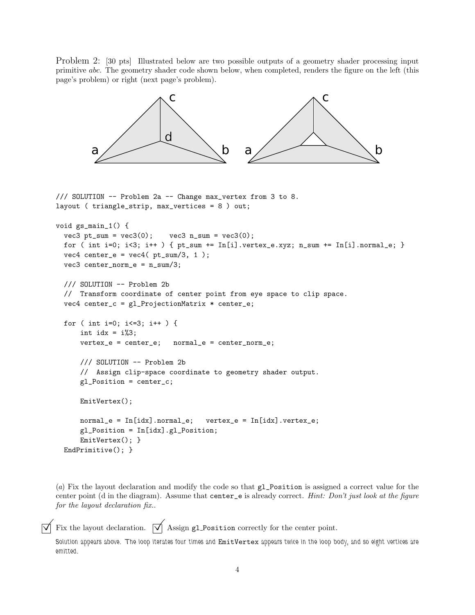Problem 2: [30 pts] Illustrated below are two possible outputs of a geometry shader processing input primitive abc. The geometry shader code shown below, when completed, renders the figure on the left (this page's problem) or right (next page's problem).

```
a \sim b
                           c
                         d
                                            a \sim b
                                                               c
/// SOLUTION -- Problem 2a -- Change max_vertex from 3 to 8.
layout ( triangle_strip, max_vertices = 8 ) out;
void gs_main_1() {
 vec3 pt\_sum = vec3(0); vec3 n\_sum = vec3(0);for ( int i=0; i<3; i++ ) { pt\_sum += In[i].vertex\_e.xyz; n\_sum += In[i].normal\_e; }
 vec4 center_e = vec4 (pt\_sum/3, 1);
 vec3 center_norm_e = n_sum/3;
 /// SOLUTION -- Problem 2b
 // Transform coordinate of center point from eye space to clip space.
 vec4 center_c = gl_ProjectionMatrix * center_e;
 for ( int i=0; i<=3; i++ ) {
     int idx = i%3;
     vertex_e = center_e; normal_e = center_norm_e;
     /// SOLUTION -- Problem 2b
     // Assign clip-space coordinate to geometry shader output.
     gl_Position = center_c;
     EmitVertex();
     normal_e = In[idx] .normal_e; vertex_e = In[idx] .vertex_e;gl_Position = In[idx].gl_Position;
     EmitVertex(); }
 EndPrimitive(); }
```
(*a*) Fix the layout declaration and modify the code so that gl\_Position is assigned a correct value for the center point (d in the diagram). Assume that center\_e is already correct. *Hint: Don't just look at the figure for the layout declaration fix.*.

 $\overrightarrow{\mathsf{M}}$  Fix the layout declaration.  $\overrightarrow{\mathsf{M}}$  Assign gl Position correctly for the center point.

Solution appears above. The loop iterates four times and EmitVertex appears twice in the loop body, and so eight vertices are emitted.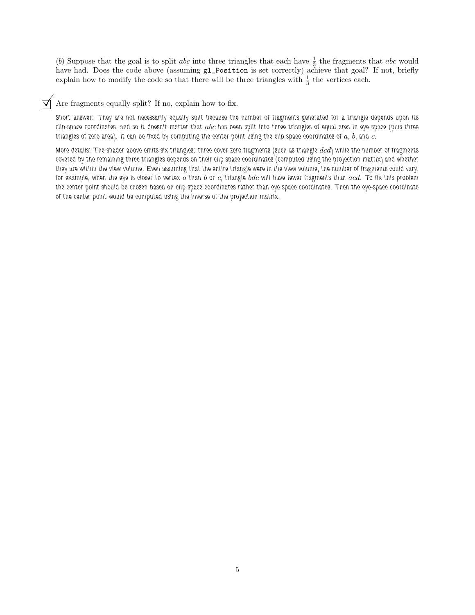(b) Suppose that the goal is to split *abc* into three triangles that each have  $\frac{1}{3}$  the fragments that *abc* would have had. Does the code above (assuming  $g1$ -Position is set correctly) achieve that goal? If not, briefly explain how to modify the code so that there will be three triangles with  $\frac{1}{3}$  the vertices each.

## $\triangledown$  Are fragments equally split? If no, explain how to fix.

Short answer: They are not necessarily equally split because the number of fragments generated for a triangle depends upon its clip-space coordinates, and so it doesn't matter that  $abc$  has been split into three triangles of equal area in eye space (plus three triangles of zero area). It can be fixed by computing the center point using the clip space coordinates of  $a, b$ , and  $c$ .

More details: The shader above emits six triangles: three cover zero fragments (such as triangle  $dcd$ ) while the number of fragments covered by the remaining three triangles depends on their clip space coordinates (computed using the projection matrix) and whether they are within the view volume. Even assuming that the entire triangle were in the view volume, the number of fragments could vary, for example, when the eye is closer to vertex  $a$  than  $b$  or  $c$ , triangle  $bdc$  will have fewer fragments than  $acd$ . To fix this problem the center point should be chosen based on clip space coordinates rather than eye space coordinates. Then the eye-space coordinate of the center point would be computed using the inverse of the projection matrix.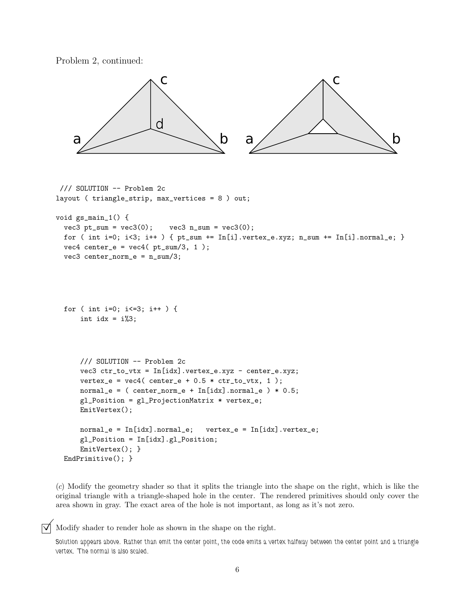```
Problem 2, continued:
```


```
/// SOLUTION -- Problem 2c
layout ( triangle_strip, max_vertices = 8 ) out;
void gs_main_1() {
  vec3 pt\_sum = vec3(0); vec3 n\_sum = vec3(0);for ( int i=0; i<3; i++ ) { pt\_sum += In[i].vertex\_e.xyz; n\_sum += In[i].normal\_e; }
  vec4 center_e = vec4 (pt\_sum/3, 1);
  vec3 center_norm_e = n_sum/3;
  for ( int i=0; i<=3; i++ ) {
      int idx = i\%3;
      /// SOLUTION -- Problem 2c
     vec3 ctr_to_vtx = In[idx].vertex_e.xyz - center_e.xyz;
     vertex_e = vec4( center_e + 0.5 * ctr_to_vtx, 1);normal_e = (center\_norm_e + In[idx].normal_e) * 0.5;gl_Position = gl_ProjectionMatrix * vertex_e;
     EmitVertex();
     normal_e = In[idx].normal_e; vertex_e = In[idx].vertex_e;
     gl_Position = In[idx].gl_Position;
     EmitVertex(); }
  EndPrimitive(); }
```
(*c*) Modify the geometry shader so that it splits the triangle into the shape on the right, which is like the original triangle with a triangle-shaped hole in the center. The rendered primitives should only cover the area shown in gray. The exact area of the hole is not important, as long as it's not zero.

 $\triangledown$  Modify shader to render hole as shown in the shape on the right.

Solution appears above. Rather than emit the center point, the code emits a vertex halfway between the center point and a triangle vertex. The normal is also scaled.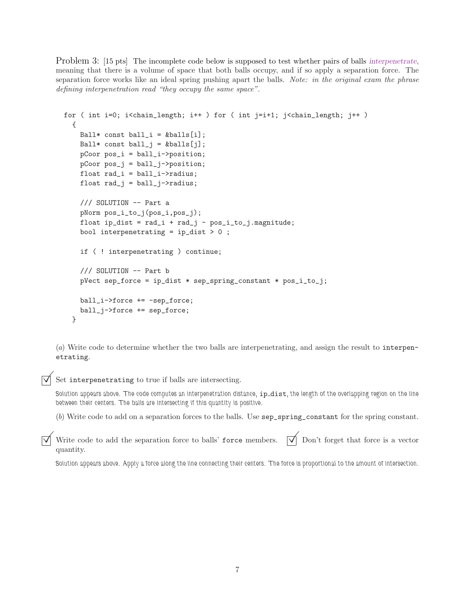Problem 3: [15 pts] The incomplete code below is supposed to test whether pairs of balls interpenetrate, meaning that there is a volume of space that both balls occupy, and if so apply a separation force. The separation force works like an ideal spring pushing apart the balls. *Note: in the original exam the phrase defining interpenetration read "they occupy the same space".*

```
for ( int i=0; i<chain_length; i++ ) for ( int j=i+1; j<chain_length; j++ )
 {
   Ball* const ball_i = kballs[i];
   Ball* const ball_j = \&balls[j];
   pCoor pos_i = ball_i->position;
   pCoor pos_j = ball_j->position;
    float rad_i = ball_i->radius;
   float rad_j = ball_j->radius;
   /// SOLUTION -- Part a
   pNorm pos_i_to_j(pos_i,pos_j);
   float ip\_dist = rad_i + rad_j - pos_i_to_j.pngbool interpenetrating = ip\_dist > 0;
    if ( ! interpenetrating ) continue;
    /// SOLUTION -- Part b
   pVect sep_force = ip_dist * sep_spring_constant * pos_i_to_j;
   ball_i->force += -sep_force;
   ball_j->force += sep_force;
 }
```
(*a*) Write code to determine whether the two balls are interpenetrating, and assign the result to interpenetrating.

Set interpenetrating to true if balls are intersecting.

Solution appears above. The code computes an interpenetration distance, ip\_dist, the length of the overlapping region on the line between their centers. The balls are intersecting if this quantity is positive.

(*b*) Write code to add on a separation forces to the balls. Use sep\_spring\_constant for the spring constant.

Write code to add the separation force to balls' force members.  $\overrightarrow{V}$  Don't forget that force is a vector quantity.

Solution appears above. Apply a force along the line connecting their centers. The force is proportional to the amount of intersection.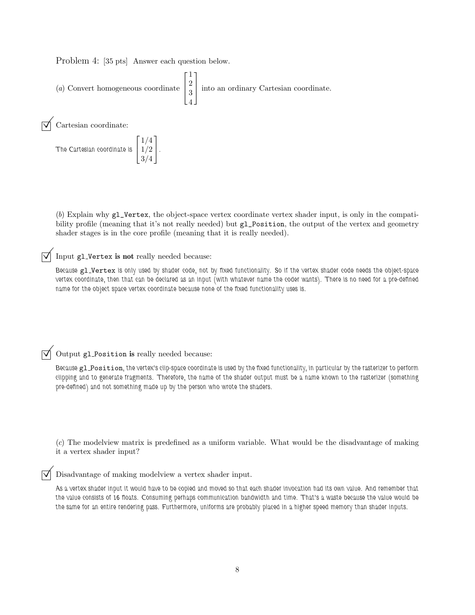Problem 4: [35 pts] Answer each question below.

(a) Convert homogeneous coordinate 
$$
\begin{bmatrix} 1 \\ 2 \\ 3 \\ 4 \end{bmatrix}
$$
 into an ordinary Cartesian coordinate.  
\n $\sqrt{\phantom{a}}$  Cartesian coordinate:

The Cartesian coordinate is 
$$
\begin{bmatrix} 1/4 \\ 1/2 \\ 3/4 \end{bmatrix}.
$$

(*b*) Explain why gl\_Vertex, the object-space vertex coordinate vertex shader input, is only in the compatibility profile (meaning that it's not really needed) but gl\_Position, the output of the vertex and geometry shader stages is in the core profile (meaning that it is really needed).

Input gl Vertex is not really needed because:

Because gl Vertex is only used by shader code, not by fixed functionality. So if the vertex shader code needs the object-space vertex coordinate, then that can be declared as an input (with whatever name the coder wants). There is no need for a pre-defined name for the object space vertex coordinate because none of the fixed functionality uses is.

 $\sqrt{\phantom{a}}$  Output gl\_Position is really needed because:

Because gl Position, the vertex's clip-space coordinate is used by the fixed functionality, in particular by the rasterizer to perform clipping and to generate fragments. Therefore, the name of the shader output must be a name known to the rasterizer (something pre-defined) and not something made up by the person who wrote the shaders.

(*c*) The modelview matrix is predefined as a uniform variable. What would be the disadvantage of making it a vertex shader input?

Disadvantage of making modelview a vertex shader input.

As a vertex shader input it would have to be copied and moved so that each shader invocation had its own value. And remember that the value consists of 16 floats. Consuming perhaps communication bandwidth and time. That's a waste because the value would be the same for an entire rendering pass. Furthermore, uniforms are probably placed in a higher speed memory than shader inputs.